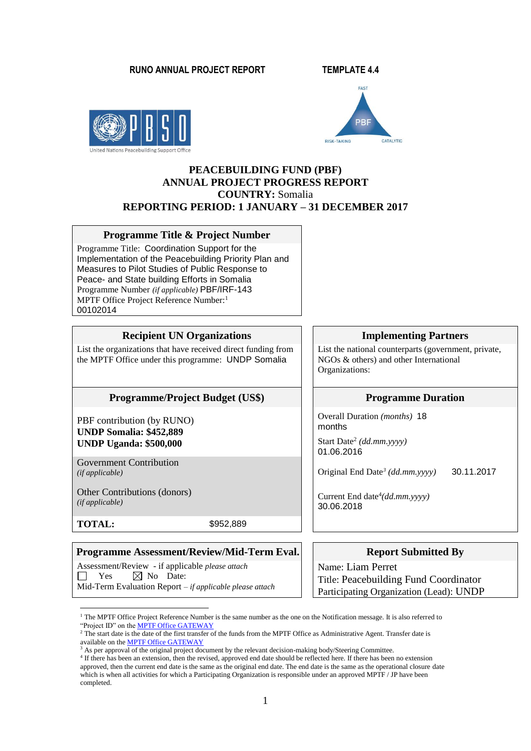#### **RUNO ANNUAL PROJECT REPORT TEMPLATE 4.4**





## **PEACEBUILDING FUND (PBF) ANNUAL PROJECT PROGRESS REPORT COUNTRY:** Somalia **REPORTING PERIOD: 1 JANUARY – 31 DECEMBER 2017**

#### **Programme Title & Project Number**

Programme Title: Coordination Support for the Implementation of the Peacebuilding Priority Plan and Measures to Pilot Studies of Public Response to Peace- and State building Efforts in Somalia Programme Number *(if applicable)* PBF/IRF-143 MPTF Office Project Reference Number:<sup>1</sup> 00102014

### **Recipient UN Organizations IDENET Implementing Partners**

List the organizations that have received direct funding from the MPTF Office under this programme: UNDP Somalia

#### **Programme/Project Budget** (US\$) Programme Duration

PBF contribution (by RUNO) **UNDP Somalia: \$452,889 UNDP Uganda: \$500,000** 

Government Contribution

Other Contributions (donors) *(if applicable)*

**TOTAL:** \$952,889

1

## **Programme Assessment/Review/Mid-Term Eval.** Report Submitted By

Assessment/Review - if applicable *please attach*  $\Box$  Yes  $\boxtimes$  No Date: Mid-Term Evaluation Report *– if applicable please attach*

List the national counterparts (government, private, NGOs & others) and other International Organizations:

Overall Duration *(months)* 18 months

Start Date<sup>2</sup> *(dd.mm.yyyy)* 01.06.2016

*(if applicable)* Original End Date*<sup>3</sup> (dd.mm.yyyy)* 30.11.2017

Current End date<sup>4</sup> *(dd.mm.yyyy)* 30.06.2018

Name: Liam Perret Title: Peacebuilding Fund Coordinator Participating Organization (Lead): UNDP

<sup>&</sup>lt;sup>1</sup> The MPTF Office Project Reference Number is the same number as the one on the Notification message. It is also referred to "Project ID" on the **MPTF Office GATEWAY** 

<sup>&</sup>lt;sup>2</sup> The start date is the date of the first transfer of the funds from the MPTF Office as Administrative Agent. Transfer date is available on th[e MPTF Office GATEWAY](http://mdtf.undp.org/)

 $3$  As per approval of the original project document by the relevant decision-making body/Steering Committee.

<sup>&</sup>lt;sup>4</sup> If there has been an extension, then the revised, approved end date should be reflected here. If there has been no extension approved, then the current end date is the same as the original end date. The end date is the same as the operational closure date which is when all activities for which a Participating Organization is responsible under an approved MPTF / JP have been completed.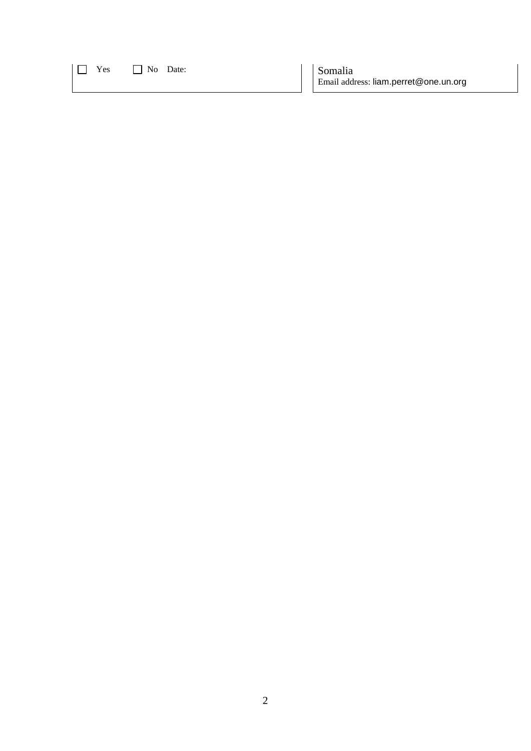| <br>--- |  |
|---------|--|
|---------|--|

No Date:  $\log_2 2$  Somalia Email address: liam.perret@one.un.org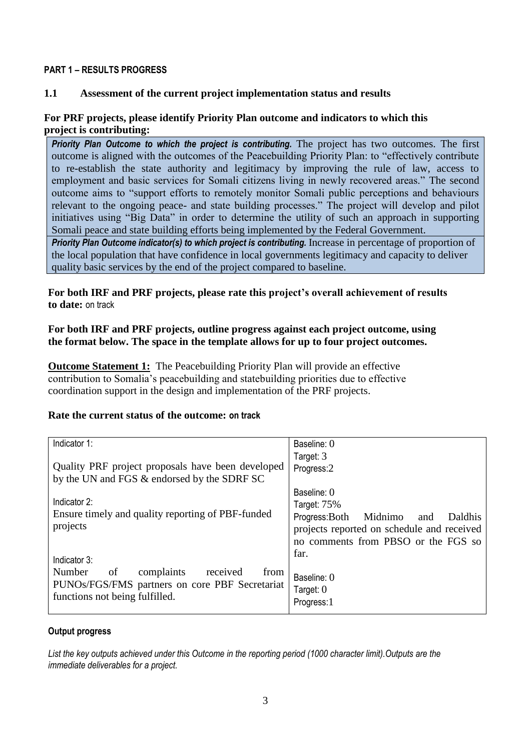## **PART 1 – RESULTS PROGRESS**

## **1.1 Assessment of the current project implementation status and results**

## **For PRF projects, please identify Priority Plan outcome and indicators to which this project is contributing:**

**Priority Plan Outcome to which the project is contributing.** The project has two outcomes. The first outcome is aligned with the outcomes of the Peacebuilding Priority Plan: to "effectively contribute to re-establish the state authority and legitimacy by improving the rule of law, access to employment and basic services for Somali citizens living in newly recovered areas." The second outcome aims to "support efforts to remotely monitor Somali public perceptions and behaviours relevant to the ongoing peace- and state building processes." The project will develop and pilot initiatives using "Big Data" in order to determine the utility of such an approach in supporting Somali peace and state building efforts being implemented by the Federal Government.

*Priority Plan Outcome indicator(s) to which project is contributing.* Increase in percentage of proportion of the local population that have confidence in local governments legitimacy and capacity to deliver quality basic services by the end of the project compared to baseline.

**For both IRF and PRF projects, please rate this project's overall achievement of results to date:** on track

## **For both IRF and PRF projects, outline progress against each project outcome, using the format below. The space in the template allows for up to four project outcomes.**

**Outcome Statement 1:** The Peacebuilding Priority Plan will provide an effective contribution to Somalia's peacebuilding and statebuilding priorities due to effective coordination support in the design and implementation of the PRF projects.

## **Rate the current status of the outcome: on track**

| Indicator 1:                                                                                                                                                  | Baseline: 0                                 |  |  |
|---------------------------------------------------------------------------------------------------------------------------------------------------------------|---------------------------------------------|--|--|
|                                                                                                                                                               | Target: 3                                   |  |  |
| Quality PRF project proposals have been developed                                                                                                             | Progress:2                                  |  |  |
| by the UN and FGS & endorsed by the SDRF SC                                                                                                                   |                                             |  |  |
|                                                                                                                                                               | Baseline: 0                                 |  |  |
| Indicator 2:                                                                                                                                                  | Target: 75%                                 |  |  |
| Ensure timely and quality reporting of PBF-funded                                                                                                             | Progress: Both<br>Midnimo<br>Daldhis<br>and |  |  |
| projects                                                                                                                                                      | projects reported on schedule and received  |  |  |
|                                                                                                                                                               | no comments from PBSO or the FGS so         |  |  |
|                                                                                                                                                               | far.                                        |  |  |
|                                                                                                                                                               |                                             |  |  |
|                                                                                                                                                               | Baseline: 0                                 |  |  |
|                                                                                                                                                               |                                             |  |  |
|                                                                                                                                                               | Progress:1                                  |  |  |
| Indicator 3:<br>complaints<br>received<br>Number<br><sub>of</sub><br>from<br>PUNOs/FGS/FMS partners on core PBF Secretariat<br>functions not being fulfilled. | Target: $0$                                 |  |  |

## **Output progress**

*List the key outputs achieved under this Outcome in the reporting period (1000 character limit).Outputs are the immediate deliverables for a project.*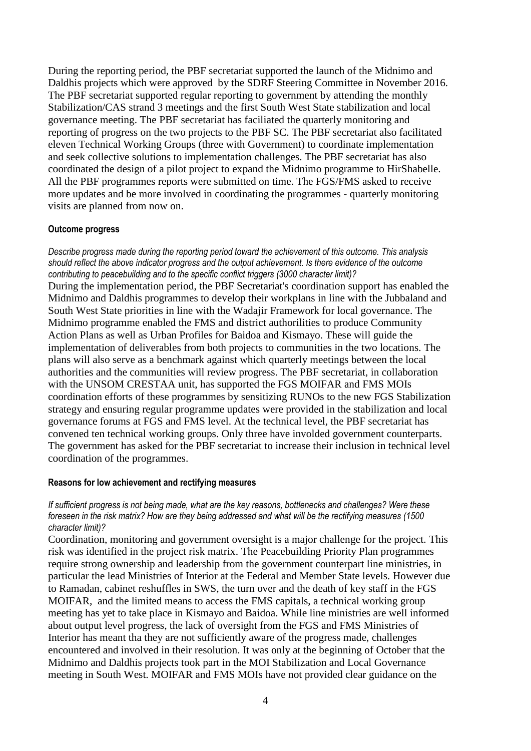During the reporting period, the PBF secretariat supported the launch of the Midnimo and Daldhis projects which were approved by the SDRF Steering Committee in November 2016. The PBF secretariat supported regular reporting to government by attending the monthly Stabilization/CAS strand 3 meetings and the first South West State stabilization and local governance meeting. The PBF secretariat has faciliated the quarterly monitoring and reporting of progress on the two projects to the PBF SC. The PBF secretariat also facilitated eleven Technical Working Groups (three with Government) to coordinate implementation and seek collective solutions to implementation challenges. The PBF secretariat has also coordinated the design of a pilot project to expand the Midnimo programme to HirShabelle. All the PBF programmes reports were submitted on time. The FGS/FMS asked to receive more updates and be more involved in coordinating the programmes - quarterly monitoring visits are planned from now on.

## **Outcome progress**

*Describe progress made during the reporting period toward the achievement of this outcome. This analysis should reflect the above indicator progress and the output achievement. Is there evidence of the outcome contributing to peacebuilding and to the specific conflict triggers (3000 character limit)?*  During the implementation period, the PBF Secretariat's coordination support has enabled the Midnimo and Daldhis programmes to develop their workplans in line with the Jubbaland and South West State priorities in line with the Wadajir Framework for local governance. The Midnimo programme enabled the FMS and district authorilities to produce Community Action Plans as well as Urban Profiles for Baidoa and Kismayo. These will guide the implementation of deliverables from both projects to communities in the two locations. The plans will also serve as a benchmark against which quarterly meetings between the local authorities and the communities will review progress. The PBF secretariat, in collaboration with the UNSOM CRESTAA unit, has supported the FGS MOIFAR and FMS MOIs coordination efforts of these programmes by sensitizing RUNOs to the new FGS Stabilization strategy and ensuring regular programme updates were provided in the stabilization and local governance forums at FGS and FMS level. At the technical level, the PBF secretariat has convened ten technical working groups. Only three have involded government counterparts. The government has asked for the PBF secretariat to increase their inclusion in technical level coordination of the programmes.

### **Reasons for low achievement and rectifying measures**

*If sufficient progress is not being made, what are the key reasons, bottlenecks and challenges? Were these foreseen in the risk matrix? How are they being addressed and what will be the rectifying measures (1500 character limit)?*

Coordination, monitoring and government oversight is a major challenge for the project. This risk was identified in the project risk matrix. The Peacebuilding Priority Plan programmes require strong ownership and leadership from the government counterpart line ministries, in particular the lead Ministries of Interior at the Federal and Member State levels. However due to Ramadan, cabinet reshuffles in SWS, the turn over and the death of key staff in the FGS MOIFAR, and the limited means to access the FMS capitals, a technical working group meeting has yet to take place in Kismayo and Baidoa. While line ministries are well informed about output level progress, the lack of oversight from the FGS and FMS Ministries of Interior has meant tha they are not sufficiently aware of the progress made, challenges encountered and involved in their resolution. It was only at the beginning of October that the Midnimo and Daldhis projects took part in the MOI Stabilization and Local Governance meeting in South West. MOIFAR and FMS MOIs have not provided clear guidance on the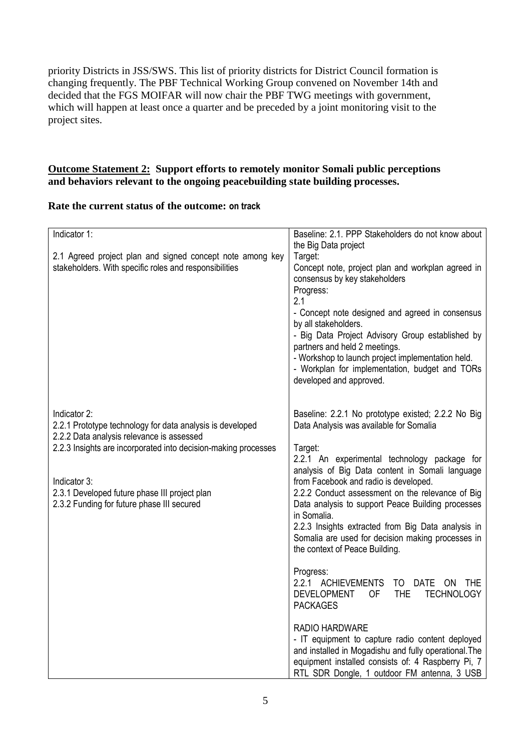priority Districts in JSS/SWS. This list of priority districts for District Council formation is changing frequently. The PBF Technical Working Group convened on November 14th and decided that the FGS MOIFAR will now chair the PBF TWG meetings with government, which will happen at least once a quarter and be preceded by a joint monitoring visit to the project sites.

# **Outcome Statement 2: Support efforts to remotely monitor Somali public perceptions and behaviors relevant to the ongoing peacebuilding state building processes.**

# **Rate the current status of the outcome: on track**

| Indicator 1:                                                   | Baseline: 2.1. PPP Stakeholders do not know about           |
|----------------------------------------------------------------|-------------------------------------------------------------|
|                                                                | the Big Data project                                        |
| 2.1 Agreed project plan and signed concept note among key      | Target:                                                     |
| stakeholders. With specific roles and responsibilities         | Concept note, project plan and workplan agreed in           |
|                                                                | consensus by key stakeholders                               |
|                                                                | Progress:                                                   |
|                                                                | 2.1                                                         |
|                                                                |                                                             |
|                                                                | - Concept note designed and agreed in consensus             |
|                                                                | by all stakeholders.                                        |
|                                                                | - Big Data Project Advisory Group established by            |
|                                                                | partners and held 2 meetings.                               |
|                                                                | - Workshop to launch project implementation held.           |
|                                                                | - Workplan for implementation, budget and TORs              |
|                                                                | developed and approved.                                     |
|                                                                |                                                             |
|                                                                |                                                             |
| Indicator 2:                                                   | Baseline: 2.2.1 No prototype existed; 2.2.2 No Big          |
| 2.2.1 Prototype technology for data analysis is developed      | Data Analysis was available for Somalia                     |
| 2.2.2 Data analysis relevance is assessed                      |                                                             |
| 2.2.3 Insights are incorporated into decision-making processes | Target:                                                     |
|                                                                | 2.2.1 An experimental technology package for                |
|                                                                | analysis of Big Data content in Somali language             |
|                                                                |                                                             |
| Indicator 3:                                                   | from Facebook and radio is developed.                       |
| 2.3.1 Developed future phase III project plan                  | 2.2.2 Conduct assessment on the relevance of Big            |
| 2.3.2 Funding for future phase III secured                     | Data analysis to support Peace Building processes           |
|                                                                | in Somalia.                                                 |
|                                                                | 2.2.3 Insights extracted from Big Data analysis in          |
|                                                                | Somalia are used for decision making processes in           |
|                                                                | the context of Peace Building.                              |
|                                                                |                                                             |
|                                                                | Progress:                                                   |
|                                                                | 2.2.1 ACHIEVEMENTS<br>TO DATE ON THE                        |
|                                                                | <b>THE</b><br><b>TECHNOLOGY</b><br>DEVELOPMENT<br><b>OF</b> |
|                                                                | <b>PACKAGES</b>                                             |
|                                                                |                                                             |
|                                                                | <b>RADIO HARDWARE</b>                                       |
|                                                                | - IT equipment to capture radio content deployed            |
|                                                                |                                                             |
|                                                                | and installed in Mogadishu and fully operational. The       |
|                                                                | equipment installed consists of: 4 Raspberry Pi, 7          |
|                                                                | RTL SDR Dongle, 1 outdoor FM antenna, 3 USB                 |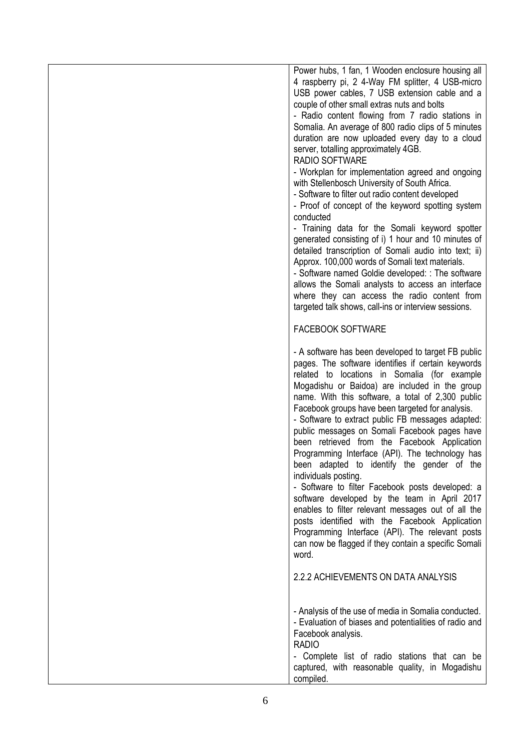| Power hubs, 1 fan, 1 Wooden enclosure housing all<br>4 raspberry pi, 2 4-Way FM splitter, 4 USB-micro                                                                                                                                                                                                                                                                                                                                                                                                                                                                                                                                                                                                                                                                                                                                                              |
|--------------------------------------------------------------------------------------------------------------------------------------------------------------------------------------------------------------------------------------------------------------------------------------------------------------------------------------------------------------------------------------------------------------------------------------------------------------------------------------------------------------------------------------------------------------------------------------------------------------------------------------------------------------------------------------------------------------------------------------------------------------------------------------------------------------------------------------------------------------------|
| USB power cables, 7 USB extension cable and a                                                                                                                                                                                                                                                                                                                                                                                                                                                                                                                                                                                                                                                                                                                                                                                                                      |
| couple of other small extras nuts and bolts                                                                                                                                                                                                                                                                                                                                                                                                                                                                                                                                                                                                                                                                                                                                                                                                                        |
| - Radio content flowing from 7 radio stations in                                                                                                                                                                                                                                                                                                                                                                                                                                                                                                                                                                                                                                                                                                                                                                                                                   |
| Somalia. An average of 800 radio clips of 5 minutes<br>duration are now uploaded every day to a cloud                                                                                                                                                                                                                                                                                                                                                                                                                                                                                                                                                                                                                                                                                                                                                              |
| server, totalling approximately 4GB.                                                                                                                                                                                                                                                                                                                                                                                                                                                                                                                                                                                                                                                                                                                                                                                                                               |
| RADIO SOFTWARE                                                                                                                                                                                                                                                                                                                                                                                                                                                                                                                                                                                                                                                                                                                                                                                                                                                     |
| - Workplan for implementation agreed and ongoing<br>with Stellenbosch University of South Africa.<br>- Software to filter out radio content developed<br>- Proof of concept of the keyword spotting system                                                                                                                                                                                                                                                                                                                                                                                                                                                                                                                                                                                                                                                         |
| conducted                                                                                                                                                                                                                                                                                                                                                                                                                                                                                                                                                                                                                                                                                                                                                                                                                                                          |
| - Training data for the Somali keyword spotter                                                                                                                                                                                                                                                                                                                                                                                                                                                                                                                                                                                                                                                                                                                                                                                                                     |
| generated consisting of i) 1 hour and 10 minutes of<br>detailed transcription of Somali audio into text; ii)                                                                                                                                                                                                                                                                                                                                                                                                                                                                                                                                                                                                                                                                                                                                                       |
| Approx. 100,000 words of Somali text materials.                                                                                                                                                                                                                                                                                                                                                                                                                                                                                                                                                                                                                                                                                                                                                                                                                    |
| - Software named Goldie developed: : The software                                                                                                                                                                                                                                                                                                                                                                                                                                                                                                                                                                                                                                                                                                                                                                                                                  |
| allows the Somali analysts to access an interface                                                                                                                                                                                                                                                                                                                                                                                                                                                                                                                                                                                                                                                                                                                                                                                                                  |
| where they can access the radio content from<br>targeted talk shows, call-ins or interview sessions.                                                                                                                                                                                                                                                                                                                                                                                                                                                                                                                                                                                                                                                                                                                                                               |
|                                                                                                                                                                                                                                                                                                                                                                                                                                                                                                                                                                                                                                                                                                                                                                                                                                                                    |
| <b>FACEBOOK SOFTWARE</b>                                                                                                                                                                                                                                                                                                                                                                                                                                                                                                                                                                                                                                                                                                                                                                                                                                           |
| - A software has been developed to target FB public<br>pages. The software identifies if certain keywords<br>related to locations in Somalia (for example<br>Mogadishu or Baidoa) are included in the group<br>name. With this software, a total of 2,300 public<br>Facebook groups have been targeted for analysis.<br>- Software to extract public FB messages adapted:<br>public messages on Somali Facebook pages have<br>been retrieved from the Facebook Application<br>Programming Interface (API). The technology has<br>been adapted to identify the gender of the<br>individuals posting.<br>- Software to filter Facebook posts developed: a<br>software developed by the team in April 2017<br>enables to filter relevant messages out of all the<br>posts identified with the Facebook Application<br>Programming Interface (API). The relevant posts |
| can now be flagged if they contain a specific Somali<br>word.                                                                                                                                                                                                                                                                                                                                                                                                                                                                                                                                                                                                                                                                                                                                                                                                      |
| 2.2.2 ACHIEVEMENTS ON DATA ANALYSIS                                                                                                                                                                                                                                                                                                                                                                                                                                                                                                                                                                                                                                                                                                                                                                                                                                |
| - Analysis of the use of media in Somalia conducted.<br>- Evaluation of biases and potentialities of radio and<br>Facebook analysis.<br><b>RADIO</b>                                                                                                                                                                                                                                                                                                                                                                                                                                                                                                                                                                                                                                                                                                               |
| - Complete list of radio stations that can be                                                                                                                                                                                                                                                                                                                                                                                                                                                                                                                                                                                                                                                                                                                                                                                                                      |
| captured, with reasonable quality, in Mogadishu<br>compiled.                                                                                                                                                                                                                                                                                                                                                                                                                                                                                                                                                                                                                                                                                                                                                                                                       |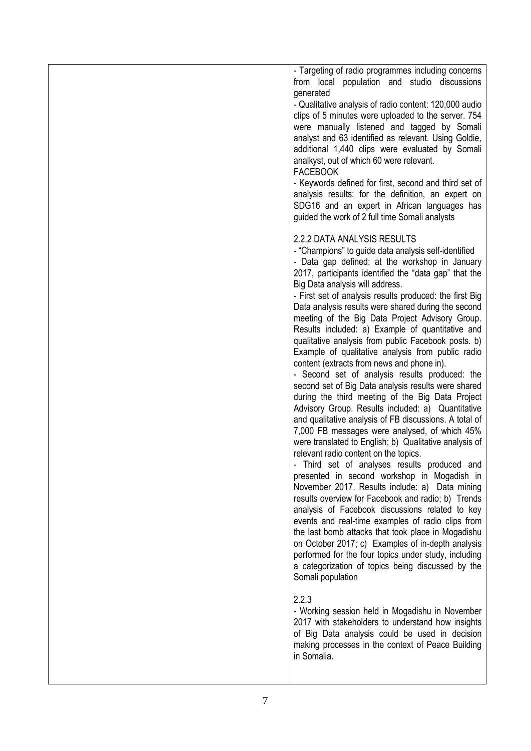| - Targeting of radio programmes including concerns<br>from local population and studio discussions<br>generated<br>- Qualitative analysis of radio content: 120,000 audio<br>clips of 5 minutes were uploaded to the server. 754<br>were manually listened and tagged by Somali<br>analyst and 63 identified as relevant. Using Goldie,                                                                                                                                                                                                                                                                                                                                                                                                                                                                                                                                                                                                                                                                                                                                                                                                                                                                                                                                                                                                                                                                                                                                                                                                                                                   |
|-------------------------------------------------------------------------------------------------------------------------------------------------------------------------------------------------------------------------------------------------------------------------------------------------------------------------------------------------------------------------------------------------------------------------------------------------------------------------------------------------------------------------------------------------------------------------------------------------------------------------------------------------------------------------------------------------------------------------------------------------------------------------------------------------------------------------------------------------------------------------------------------------------------------------------------------------------------------------------------------------------------------------------------------------------------------------------------------------------------------------------------------------------------------------------------------------------------------------------------------------------------------------------------------------------------------------------------------------------------------------------------------------------------------------------------------------------------------------------------------------------------------------------------------------------------------------------------------|
| additional 1,440 clips were evaluated by Somali<br>analkyst, out of which 60 were relevant.<br><b>FACEBOOK</b><br>- Keywords defined for first, second and third set of                                                                                                                                                                                                                                                                                                                                                                                                                                                                                                                                                                                                                                                                                                                                                                                                                                                                                                                                                                                                                                                                                                                                                                                                                                                                                                                                                                                                                   |
| analysis results: for the definition, an expert on<br>SDG16 and an expert in African languages has<br>guided the work of 2 full time Somali analysts                                                                                                                                                                                                                                                                                                                                                                                                                                                                                                                                                                                                                                                                                                                                                                                                                                                                                                                                                                                                                                                                                                                                                                                                                                                                                                                                                                                                                                      |
| 2.2.2 DATA ANALYSIS RESULTS<br>- "Champions" to guide data analysis self-identified<br>- Data gap defined: at the workshop in January<br>2017, participants identified the "data gap" that the<br>Big Data analysis will address.<br>- First set of analysis results produced: the first Big<br>Data analysis results were shared during the second<br>meeting of the Big Data Project Advisory Group.<br>Results included: a) Example of quantitative and<br>qualitative analysis from public Facebook posts. b)<br>Example of qualitative analysis from public radio<br>content (extracts from news and phone in).<br>- Second set of analysis results produced: the<br>second set of Big Data analysis results were shared<br>during the third meeting of the Big Data Project<br>Advisory Group. Results included: a) Quantitative<br>and qualitative analysis of FB discussions. A total of<br>7,000 FB messages were analysed, of which 45%<br>were translated to English; b) Qualitative analysis of<br>relevant radio content on the topics.<br>Third set of analyses results produced and<br>presented in second workshop in Mogadish in<br>November 2017. Results include: a) Data mining<br>results overview for Facebook and radio; b) Trends<br>analysis of Facebook discussions related to key<br>events and real-time examples of radio clips from<br>the last bomb attacks that took place in Mogadishu<br>on October 2017; c) Examples of in-depth analysis<br>performed for the four topics under study, including<br>a categorization of topics being discussed by the |
| Somali population                                                                                                                                                                                                                                                                                                                                                                                                                                                                                                                                                                                                                                                                                                                                                                                                                                                                                                                                                                                                                                                                                                                                                                                                                                                                                                                                                                                                                                                                                                                                                                         |
| 2.2.3<br>- Working session held in Mogadishu in November<br>2017 with stakeholders to understand how insights<br>of Big Data analysis could be used in decision<br>making processes in the context of Peace Building<br>in Somalia.                                                                                                                                                                                                                                                                                                                                                                                                                                                                                                                                                                                                                                                                                                                                                                                                                                                                                                                                                                                                                                                                                                                                                                                                                                                                                                                                                       |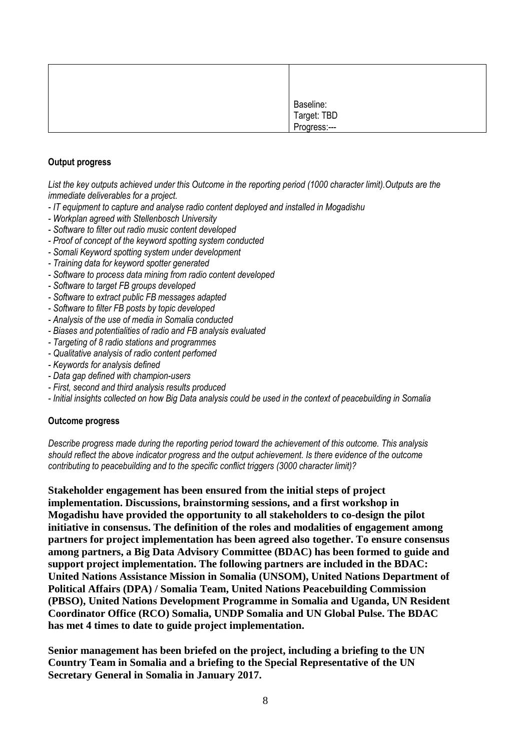| Baseline:<br>Target: TBD<br>Progress:--- |
|------------------------------------------|

## **Output progress**

*List the key outputs achieved under this Outcome in the reporting period (1000 character limit).Outputs are the immediate deliverables for a project.*

- *- IT equipment to capture and analyse radio content deployed and installed in Mogadishu*
- *- Workplan agreed with Stellenbosch University*
- *- Software to filter out radio music content developed*
- *- Proof of concept of the keyword spotting system conducted*
- *- Somali Keyword spotting system under development*
- *- Training data for keyword spotter generated*
- *- Software to process data mining from radio content developed*
- *- Software to target FB groups developed*
- *- Software to extract public FB messages adapted*
- *- Software to filter FB posts by topic developed*
- *- Analysis of the use of media in Somalia conducted*
- *- Biases and potentialities of radio and FB analysis evaluated*
- *- Targeting of 8 radio stations and programmes*
- *- Qualitative analysis of radio content perfomed*
- *- Keywords for analysis defined*
- *- Data gap defined with champion-users*
- *- First, second and third analysis results produced*
- *- Initial insights collected on how Big Data analysis could be used in the context of peacebuilding in Somalia*

## **Outcome progress**

*Describe progress made during the reporting period toward the achievement of this outcome. This analysis should reflect the above indicator progress and the output achievement. Is there evidence of the outcome contributing to peacebuilding and to the specific conflict triggers (3000 character limit)?* 

**Stakeholder engagement has been ensured from the initial steps of project implementation. Discussions, brainstorming sessions, and a first workshop in Mogadishu have provided the opportunity to all stakeholders to co-design the pilot initiative in consensus. The definition of the roles and modalities of engagement among partners for project implementation has been agreed also together. To ensure consensus among partners, a Big Data Advisory Committee (BDAC) has been formed to guide and support project implementation. The following partners are included in the BDAC: United Nations Assistance Mission in Somalia (UNSOM), United Nations Department of Political Affairs (DPA) / Somalia Team, United Nations Peacebuilding Commission (PBSO), United Nations Development Programme in Somalia and Uganda, UN Resident Coordinator Office (RCO) Somalia, UNDP Somalia and UN Global Pulse. The BDAC has met 4 times to date to guide project implementation.** 

**Senior management has been briefed on the project, including a briefing to the UN Country Team in Somalia and a briefing to the Special Representative of the UN Secretary General in Somalia in January 2017.**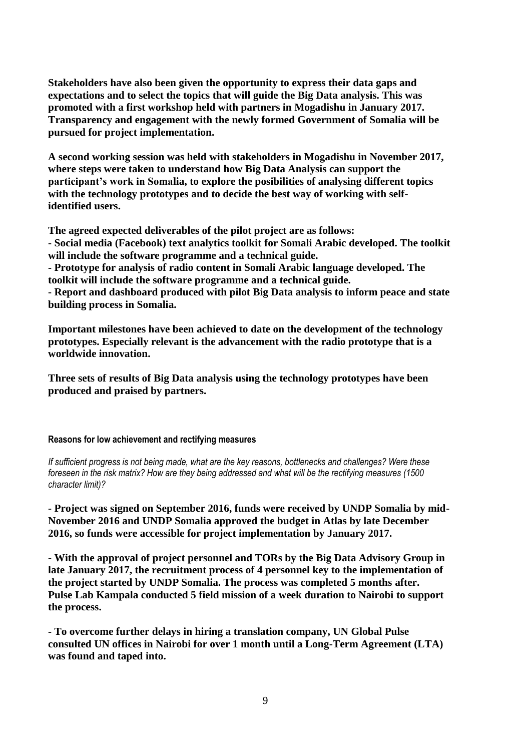**Stakeholders have also been given the opportunity to express their data gaps and expectations and to select the topics that will guide the Big Data analysis. This was promoted with a first workshop held with partners in Mogadishu in January 2017. Transparency and engagement with the newly formed Government of Somalia will be pursued for project implementation.**

**A second working session was held with stakeholders in Mogadishu in November 2017, where steps were taken to understand how Big Data Analysis can support the participant's work in Somalia, to explore the posibilities of analysing different topics with the technology prototypes and to decide the best way of working with selfidentified users.** 

**The agreed expected deliverables of the pilot project are as follows:** 

**- Social media (Facebook) text analytics toolkit for Somali Arabic developed. The toolkit will include the software programme and a technical guide.**

**- Prototype for analysis of radio content in Somali Arabic language developed. The toolkit will include the software programme and a technical guide.**

**- Report and dashboard produced with pilot Big Data analysis to inform peace and state building process in Somalia.**

**Important milestones have been achieved to date on the development of the technology prototypes. Especially relevant is the advancement with the radio prototype that is a worldwide innovation.**

**Three sets of results of Big Data analysis using the technology prototypes have been produced and praised by partners.**

### **Reasons for low achievement and rectifying measures**

*If sufficient progress is not being made, what are the key reasons, bottlenecks and challenges? Were these foreseen in the risk matrix? How are they being addressed and what will be the rectifying measures (1500 character limit)?*

**- Project was signed on September 2016, funds were received by UNDP Somalia by mid-November 2016 and UNDP Somalia approved the budget in Atlas by late December 2016, so funds were accessible for project implementation by January 2017.**

**- With the approval of project personnel and TORs by the Big Data Advisory Group in late January 2017, the recruitment process of 4 personnel key to the implementation of the project started by UNDP Somalia. The process was completed 5 months after. Pulse Lab Kampala conducted 5 field mission of a week duration to Nairobi to support the process.** 

**- To overcome further delays in hiring a translation company, UN Global Pulse consulted UN offices in Nairobi for over 1 month until a Long-Term Agreement (LTA) was found and taped into.**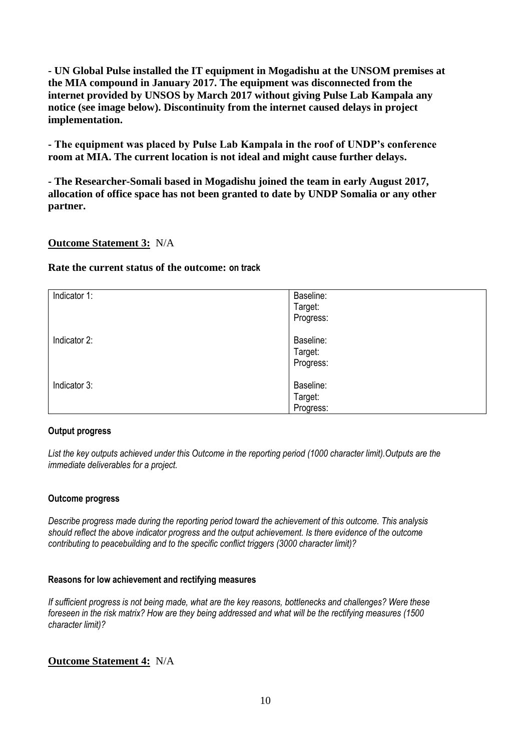**- UN Global Pulse installed the IT equipment in Mogadishu at the UNSOM premises at the MIA compound in January 2017. The equipment was disconnected from the internet provided by UNSOS by March 2017 without giving Pulse Lab Kampala any notice (see image below). Discontinuity from the internet caused delays in project implementation.**

**- The equipment was placed by Pulse Lab Kampala in the roof of UNDP's conference room at MIA. The current location is not ideal and might cause further delays.**

**- The Researcher-Somali based in Mogadishu joined the team in early August 2017, allocation of office space has not been granted to date by UNDP Somalia or any other partner.**

## **Outcome Statement 3:** N/A

## **Rate the current status of the outcome: on track**

| Indicator 1: | Baseline:<br>Target:<br>Progress: |
|--------------|-----------------------------------|
| Indicator 2: | Baseline:<br>Target:<br>Progress: |
| Indicator 3: | Baseline:<br>Target:<br>Progress: |

## **Output progress**

*List the key outputs achieved under this Outcome in the reporting period (1000 character limit).Outputs are the immediate deliverables for a project.*

## **Outcome progress**

*Describe progress made during the reporting period toward the achievement of this outcome. This analysis should reflect the above indicator progress and the output achievement. Is there evidence of the outcome contributing to peacebuilding and to the specific conflict triggers (3000 character limit)?* 

## **Reasons for low achievement and rectifying measures**

*If sufficient progress is not being made, what are the key reasons, bottlenecks and challenges? Were these foreseen in the risk matrix? How are they being addressed and what will be the rectifying measures (1500 character limit)?*

# **Outcome Statement 4:** N/A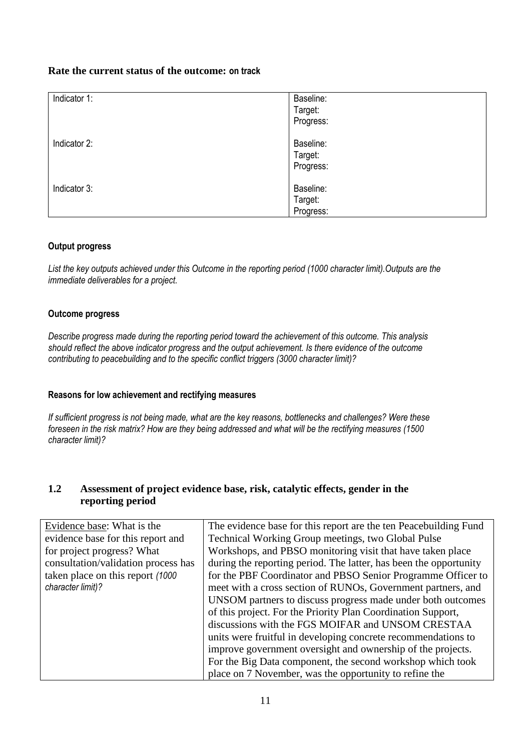## **Rate the current status of the outcome: on track**

| Indicator 1: | Baseline:<br>Target:<br>Progress: |
|--------------|-----------------------------------|
| Indicator 2: | Baseline:<br>Target:<br>Progress: |
| Indicator 3: | Baseline:<br>Target:<br>Progress: |

## **Output progress**

*List the key outputs achieved under this Outcome in the reporting period (1000 character limit).Outputs are the immediate deliverables for a project.*

## **Outcome progress**

*Describe progress made during the reporting period toward the achievement of this outcome. This analysis should reflect the above indicator progress and the output achievement. Is there evidence of the outcome contributing to peacebuilding and to the specific conflict triggers (3000 character limit)?* 

## **Reasons for low achievement and rectifying measures**

*If sufficient progress is not being made, what are the key reasons, bottlenecks and challenges? Were these foreseen in the risk matrix? How are they being addressed and what will be the rectifying measures (1500 character limit)?*

## **1.2 Assessment of project evidence base, risk, catalytic effects, gender in the reporting period**

| Evidence base: What is the          | The evidence base for this report are the ten Peacebuilding Fund  |  |
|-------------------------------------|-------------------------------------------------------------------|--|
| evidence base for this report and   | Technical Working Group meetings, two Global Pulse                |  |
| for project progress? What          | Workshops, and PBSO monitoring visit that have taken place        |  |
| consultation/validation process has | during the reporting period. The latter, has been the opportunity |  |
| taken place on this report (1000)   | for the PBF Coordinator and PBSO Senior Programme Officer to      |  |
| character limit)?                   | meet with a cross section of RUNOs, Government partners, and      |  |
|                                     | UNSOM partners to discuss progress made under both outcomes       |  |
|                                     | of this project. For the Priority Plan Coordination Support,      |  |
|                                     | discussions with the FGS MOIFAR and UNSOM CRESTAA                 |  |
|                                     | units were fruitful in developing concrete recommendations to     |  |
|                                     | improve government oversight and ownership of the projects.       |  |
|                                     | For the Big Data component, the second workshop which took        |  |
|                                     | place on 7 November, was the opportunity to refine the            |  |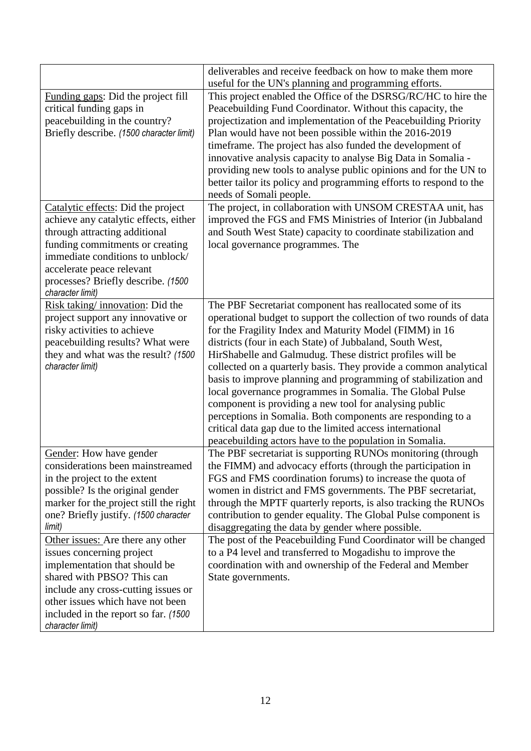|                                                                  | deliverables and receive feedback on how to make them more<br>useful for the UN's planning and programming efforts. |  |  |
|------------------------------------------------------------------|---------------------------------------------------------------------------------------------------------------------|--|--|
| Funding gaps: Did the project fill                               | This project enabled the Office of the DSRSG/RC/HC to hire the                                                      |  |  |
| critical funding gaps in                                         | Peacebuilding Fund Coordinator. Without this capacity, the                                                          |  |  |
| peacebuilding in the country?                                    | projectization and implementation of the Peacebuilding Priority                                                     |  |  |
|                                                                  |                                                                                                                     |  |  |
| Briefly describe. (1500 character limit)                         | Plan would have not been possible within the 2016-2019                                                              |  |  |
|                                                                  | timeframe. The project has also funded the development of                                                           |  |  |
|                                                                  | innovative analysis capacity to analyse Big Data in Somalia -                                                       |  |  |
|                                                                  | providing new tools to analyse public opinions and for the UN to                                                    |  |  |
|                                                                  | better tailor its policy and programming efforts to respond to the                                                  |  |  |
|                                                                  | needs of Somali people.                                                                                             |  |  |
| Catalytic effects: Did the project                               | The project, in collaboration with UNSOM CRESTAA unit, has                                                          |  |  |
| achieve any catalytic effects, either                            | improved the FGS and FMS Ministries of Interior (in Jubbaland                                                       |  |  |
| through attracting additional<br>funding commitments or creating | and South West State) capacity to coordinate stabilization and                                                      |  |  |
| immediate conditions to unblock/                                 | local governance programmes. The                                                                                    |  |  |
| accelerate peace relevant                                        |                                                                                                                     |  |  |
| processes? Briefly describe. (1500)                              |                                                                                                                     |  |  |
| character limit)                                                 |                                                                                                                     |  |  |
| Risk taking/innovation: Did the                                  | The PBF Secretariat component has reallocated some of its                                                           |  |  |
| project support any innovative or                                | operational budget to support the collection of two rounds of data                                                  |  |  |
| risky activities to achieve                                      | for the Fragility Index and Maturity Model (FIMM) in 16                                                             |  |  |
| peacebuilding results? What were                                 | districts (four in each State) of Jubbaland, South West,                                                            |  |  |
| they and what was the result? (1500                              | HirShabelle and Galmudug. These district profiles will be                                                           |  |  |
| character limit)                                                 | collected on a quarterly basis. They provide a common analytical                                                    |  |  |
|                                                                  | basis to improve planning and programming of stabilization and                                                      |  |  |
|                                                                  | local governance programmes in Somalia. The Global Pulse                                                            |  |  |
|                                                                  | component is providing a new tool for analysing public                                                              |  |  |
|                                                                  | perceptions in Somalia. Both components are responding to a                                                         |  |  |
|                                                                  | critical data gap due to the limited access international                                                           |  |  |
|                                                                  | peacebuilding actors have to the population in Somalia.                                                             |  |  |
| Gender: How have gender                                          | The PBF secretariat is supporting RUNOs monitoring (through                                                         |  |  |
| considerations been mainstreamed                                 | the FIMM) and advocacy efforts (through the participation in                                                        |  |  |
| in the project to the extent                                     | FGS and FMS coordination forums) to increase the quota of                                                           |  |  |
| possible? Is the original gender                                 | women in district and FMS governments. The PBF secretariat,                                                         |  |  |
| marker for the project still the right                           | through the MPTF quarterly reports, is also tracking the RUNOs                                                      |  |  |
| one? Briefly justify. (1500 character                            | contribution to gender equality. The Global Pulse component is                                                      |  |  |
| limit)                                                           | disaggregating the data by gender where possible.                                                                   |  |  |
| Other issues: Are there any other                                | The post of the Peacebuilding Fund Coordinator will be changed                                                      |  |  |
| issues concerning project                                        | to a P4 level and transferred to Mogadishu to improve the                                                           |  |  |
| implementation that should be                                    | coordination with and ownership of the Federal and Member                                                           |  |  |
| shared with PBSO? This can                                       | State governments.                                                                                                  |  |  |
| include any cross-cutting issues or                              |                                                                                                                     |  |  |
| other issues which have not been                                 |                                                                                                                     |  |  |
| included in the report so far. (1500                             |                                                                                                                     |  |  |
| character limit)                                                 |                                                                                                                     |  |  |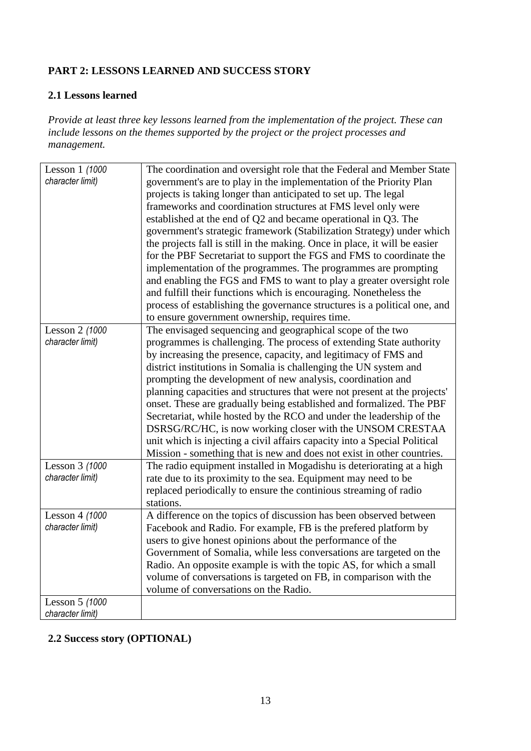# **PART 2: LESSONS LEARNED AND SUCCESS STORY**

# **2.1 Lessons learned**

*Provide at least three key lessons learned from the implementation of the project. These can include lessons on the themes supported by the project or the project processes and management.*

| Lesson 1 (1000<br>character limit) | The coordination and oversight role that the Federal and Member State<br>government's are to play in the implementation of the Priority Plan<br>projects is taking longer than anticipated to set up. The legal<br>frameworks and coordination structures at FMS level only were<br>established at the end of Q2 and became operational in Q3. The<br>government's strategic framework (Stabilization Strategy) under which<br>the projects fall is still in the making. Once in place, it will be easier<br>for the PBF Secretariat to support the FGS and FMS to coordinate the<br>implementation of the programmes. The programmes are prompting<br>and enabling the FGS and FMS to want to play a greater oversight role<br>and fulfill their functions which is encouraging. Nonetheless the<br>process of establishing the governance structures is a political one, and<br>to ensure government ownership, requires time. |
|------------------------------------|----------------------------------------------------------------------------------------------------------------------------------------------------------------------------------------------------------------------------------------------------------------------------------------------------------------------------------------------------------------------------------------------------------------------------------------------------------------------------------------------------------------------------------------------------------------------------------------------------------------------------------------------------------------------------------------------------------------------------------------------------------------------------------------------------------------------------------------------------------------------------------------------------------------------------------|
| Lesson 2 (1000                     | The envisaged sequencing and geographical scope of the two                                                                                                                                                                                                                                                                                                                                                                                                                                                                                                                                                                                                                                                                                                                                                                                                                                                                       |
| character limit)                   | programmes is challenging. The process of extending State authority                                                                                                                                                                                                                                                                                                                                                                                                                                                                                                                                                                                                                                                                                                                                                                                                                                                              |
|                                    | by increasing the presence, capacity, and legitimacy of FMS and                                                                                                                                                                                                                                                                                                                                                                                                                                                                                                                                                                                                                                                                                                                                                                                                                                                                  |
|                                    | district institutions in Somalia is challenging the UN system and                                                                                                                                                                                                                                                                                                                                                                                                                                                                                                                                                                                                                                                                                                                                                                                                                                                                |
|                                    | prompting the development of new analysis, coordination and                                                                                                                                                                                                                                                                                                                                                                                                                                                                                                                                                                                                                                                                                                                                                                                                                                                                      |
|                                    | planning capacities and structures that were not present at the projects'                                                                                                                                                                                                                                                                                                                                                                                                                                                                                                                                                                                                                                                                                                                                                                                                                                                        |
|                                    | onset. These are gradually being established and formalized. The PBF                                                                                                                                                                                                                                                                                                                                                                                                                                                                                                                                                                                                                                                                                                                                                                                                                                                             |
|                                    | Secretariat, while hosted by the RCO and under the leadership of the                                                                                                                                                                                                                                                                                                                                                                                                                                                                                                                                                                                                                                                                                                                                                                                                                                                             |
|                                    | DSRSG/RC/HC, is now working closer with the UNSOM CRESTAA                                                                                                                                                                                                                                                                                                                                                                                                                                                                                                                                                                                                                                                                                                                                                                                                                                                                        |
|                                    | unit which is injecting a civil affairs capacity into a Special Political                                                                                                                                                                                                                                                                                                                                                                                                                                                                                                                                                                                                                                                                                                                                                                                                                                                        |
|                                    | Mission - something that is new and does not exist in other countries.                                                                                                                                                                                                                                                                                                                                                                                                                                                                                                                                                                                                                                                                                                                                                                                                                                                           |
| Lesson 3 (1000                     | The radio equipment installed in Mogadishu is deteriorating at a high                                                                                                                                                                                                                                                                                                                                                                                                                                                                                                                                                                                                                                                                                                                                                                                                                                                            |
| character limit)                   | rate due to its proximity to the sea. Equipment may need to be                                                                                                                                                                                                                                                                                                                                                                                                                                                                                                                                                                                                                                                                                                                                                                                                                                                                   |
|                                    | replaced periodically to ensure the continious streaming of radio                                                                                                                                                                                                                                                                                                                                                                                                                                                                                                                                                                                                                                                                                                                                                                                                                                                                |
|                                    | stations.                                                                                                                                                                                                                                                                                                                                                                                                                                                                                                                                                                                                                                                                                                                                                                                                                                                                                                                        |
| Lesson 4 (1000                     | A difference on the topics of discussion has been observed between                                                                                                                                                                                                                                                                                                                                                                                                                                                                                                                                                                                                                                                                                                                                                                                                                                                               |
| character limit)                   | Facebook and Radio. For example, FB is the prefered platform by                                                                                                                                                                                                                                                                                                                                                                                                                                                                                                                                                                                                                                                                                                                                                                                                                                                                  |
|                                    | users to give honest opinions about the performance of the                                                                                                                                                                                                                                                                                                                                                                                                                                                                                                                                                                                                                                                                                                                                                                                                                                                                       |
|                                    | Government of Somalia, while less conversations are targeted on the                                                                                                                                                                                                                                                                                                                                                                                                                                                                                                                                                                                                                                                                                                                                                                                                                                                              |
|                                    | Radio. An opposite example is with the topic AS, for which a small                                                                                                                                                                                                                                                                                                                                                                                                                                                                                                                                                                                                                                                                                                                                                                                                                                                               |
|                                    | volume of conversations is targeted on FB, in comparison with the                                                                                                                                                                                                                                                                                                                                                                                                                                                                                                                                                                                                                                                                                                                                                                                                                                                                |
|                                    | volume of conversations on the Radio.                                                                                                                                                                                                                                                                                                                                                                                                                                                                                                                                                                                                                                                                                                                                                                                                                                                                                            |
| Lesson 5 (1000                     |                                                                                                                                                                                                                                                                                                                                                                                                                                                                                                                                                                                                                                                                                                                                                                                                                                                                                                                                  |
| character limit)                   |                                                                                                                                                                                                                                                                                                                                                                                                                                                                                                                                                                                                                                                                                                                                                                                                                                                                                                                                  |

# **2.2 Success story (OPTIONAL)**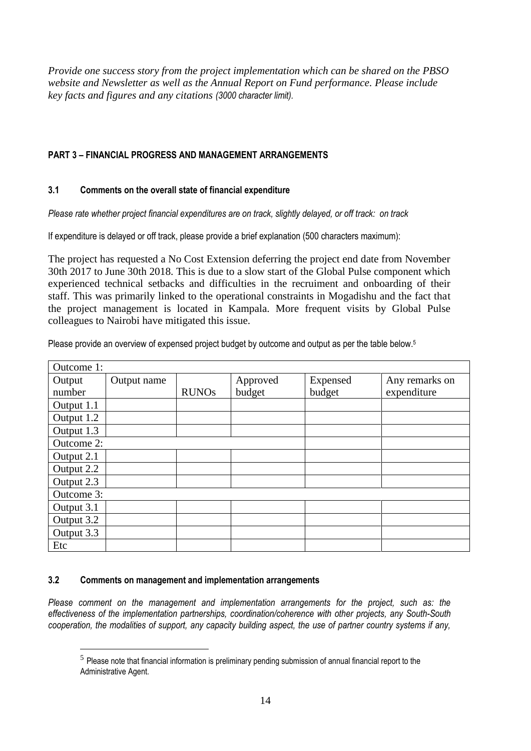*Provide one success story from the project implementation which can be shared on the PBSO website and Newsletter as well as the Annual Report on Fund performance. Please include key facts and figures and any citations (3000 character limit).*

## **PART 3** *–* **FINANCIAL PROGRESS AND MANAGEMENT ARRANGEMENTS**

## **3.1 Comments on the overall state of financial expenditure**

*Please rate whether project financial expenditures are on track, slightly delayed, or off track: on track*

If expenditure is delayed or off track, please provide a brief explanation (500 characters maximum):

The project has requested a No Cost Extension deferring the project end date from November 30th 2017 to June 30th 2018. This is due to a slow start of the Global Pulse component which experienced technical setbacks and difficulties in the recruiment and onboarding of their staff. This was primarily linked to the operational constraints in Mogadishu and the fact that the project management is located in Kampala. More frequent visits by Global Pulse colleagues to Nairobi have mitigated this issue.

Please provide an overview of expensed project budget by outcome and output as per the table below.<sup>5</sup>

| Outcome 1: |             |              |          |          |                |
|------------|-------------|--------------|----------|----------|----------------|
| Output     | Output name |              | Approved | Expensed | Any remarks on |
| number     |             | <b>RUNOs</b> | budget   | budget   | expenditure    |
| Output 1.1 |             |              |          |          |                |
| Output 1.2 |             |              |          |          |                |
| Output 1.3 |             |              |          |          |                |
| Outcome 2: |             |              |          |          |                |
| Output 2.1 |             |              |          |          |                |
| Output 2.2 |             |              |          |          |                |
| Output 2.3 |             |              |          |          |                |
| Outcome 3: |             |              |          |          |                |
| Output 3.1 |             |              |          |          |                |
| Output 3.2 |             |              |          |          |                |
| Output 3.3 |             |              |          |          |                |
| Etc        |             |              |          |          |                |

## **3.2 Comments on management and implementation arrangements**

<u>.</u>

*Please comment on the management and implementation arrangements for the project, such as: the effectiveness of the implementation partnerships, coordination/coherence with other projects, any South-South cooperation, the modalities of support, any capacity building aspect, the use of partner country systems if any,* 

 $<sup>5</sup>$  Please note that financial information is preliminary pending submission of annual financial report to the</sup> Administrative Agent.